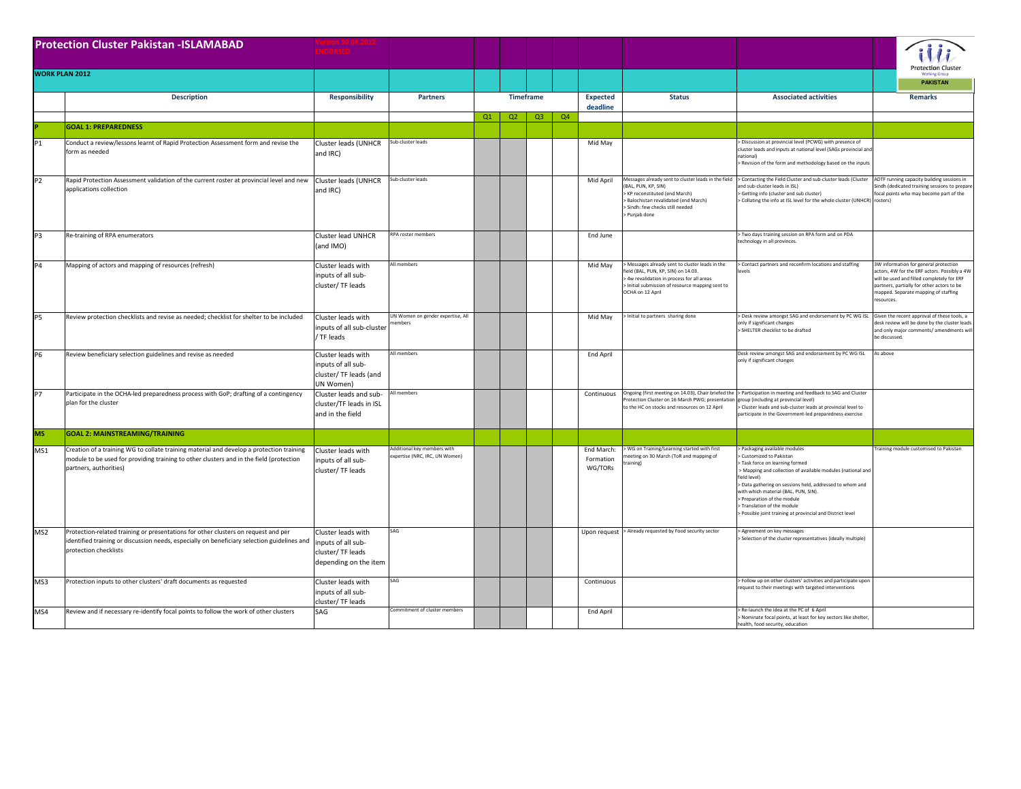| <b>Protection Cluster Pakistan - ISLAMABAD</b> |                                                                                                                                                                                                               |                                                                                       |                                                             |    |    |                  |    |                                    |                                                                                                                                                                                                              |                                                                                                                                                                                                                                                                                                                                                                                                       | <b>Protection Cluster</b>                                                                                                                                                                                                            |
|------------------------------------------------|---------------------------------------------------------------------------------------------------------------------------------------------------------------------------------------------------------------|---------------------------------------------------------------------------------------|-------------------------------------------------------------|----|----|------------------|----|------------------------------------|--------------------------------------------------------------------------------------------------------------------------------------------------------------------------------------------------------------|-------------------------------------------------------------------------------------------------------------------------------------------------------------------------------------------------------------------------------------------------------------------------------------------------------------------------------------------------------------------------------------------------------|--------------------------------------------------------------------------------------------------------------------------------------------------------------------------------------------------------------------------------------|
| <b>WORK PLAN 2012</b>                          |                                                                                                                                                                                                               |                                                                                       |                                                             |    |    |                  |    |                                    |                                                                                                                                                                                                              |                                                                                                                                                                                                                                                                                                                                                                                                       | <b>Working Grou</b><br><b>PAKISTAN</b>                                                                                                                                                                                               |
|                                                | <b>Description</b>                                                                                                                                                                                            | <b>Responsibility</b>                                                                 | <b>Partners</b>                                             |    |    | <b>Timeframe</b> |    | <b>Expected</b><br>deadline        | <b>Status</b>                                                                                                                                                                                                | <b>Associated activities</b>                                                                                                                                                                                                                                                                                                                                                                          | <b>Remarks</b>                                                                                                                                                                                                                       |
|                                                | <b>GOAL 1: PREPAREDNESS</b>                                                                                                                                                                                   |                                                                                       |                                                             | Q1 | Q2 | Q3               | Q4 |                                    |                                                                                                                                                                                                              |                                                                                                                                                                                                                                                                                                                                                                                                       |                                                                                                                                                                                                                                      |
| P1                                             | Conduct a review/lessons learnt of Rapid Protection Assessment form and revise the<br>form as needed                                                                                                          | Cluster leads (UNHCR<br>and IRC)                                                      | Sub-cluster leads                                           |    |    |                  |    | Mid May                            |                                                                                                                                                                                                              | Discussion at provincial level (PCWG) with presence of<br>cluster leads and inputs at national level (SAGs provincial and<br>national)<br>> Revision of the form and methodology based on the inputs                                                                                                                                                                                                  |                                                                                                                                                                                                                                      |
| <b>P2</b>                                      | Rapid Protection Assessment validation of the current roster at provincial level and new<br>applications collection                                                                                           | Cluster leads (UNHCR<br>and IRC)                                                      | Sub-cluster leads                                           |    |    |                  |    | Mid April                          | Messages already sent to cluster leads in the field<br>(BAL, PUN, KP, SIN)<br>> KP reconstituted (end March)<br>> Balochistan revalidated (end March)<br>> Sindh: few checks still needed<br>> Punjab done   | > Contacting the Field Cluster and sub-cluster leads (Cluster<br>and sub-cluster leads in ISL)<br>Getting info (cluster and sub cluster)<br>> Collating the info at ISL level for the whole cluster (UNHCR)                                                                                                                                                                                           | ADTF running capacity building sessions in<br>indh (dedicated training sessions to prepare<br>ocal points who may become part of the<br>rosters                                                                                      |
| P <sub>3</sub>                                 | Re-training of RPA enumerators                                                                                                                                                                                | Cluster lead UNHCR<br>(and IMO)                                                       | <b>IPA roster members</b>                                   |    |    |                  |    | End June                           |                                                                                                                                                                                                              | Two days training session on RPA form and on PDA<br>technology in all provinces.                                                                                                                                                                                                                                                                                                                      |                                                                                                                                                                                                                                      |
| <b>P4</b>                                      | Mapping of actors and mapping of resources (refresh)                                                                                                                                                          | Cluster leads with<br>inputs of all sub-<br>cluster/TF leads                          | All members                                                 |    |    |                  |    | Mid May                            | > Messages already sent to cluster leads in the<br>field (BAL, PUN, KP, SIN) on 14.03.<br>> 4w revalidation in process for all areas<br>> Initial submission of resource mapping sent to<br>OCHA on 12 April | > Contact partners and reconfirm locations and staffing                                                                                                                                                                                                                                                                                                                                               | 3W information for general protection<br>actors, 4W for the ERF actors. Possibly a 4W<br>vill be used and filled completely for ERF<br>artners, partially for other actors to be<br>apped. Separate mapping of staffing<br>esources. |
| <b>P5</b>                                      | Review protection checklists and revise as needed; checklist for shelter to be included                                                                                                                       | Cluster leads with<br>inputs of all sub-cluster<br>TF leads                           | UN Women on gender expertise, All<br>embers                 |    |    |                  |    | Mid May                            | > Initial to partners sharing done                                                                                                                                                                           | > Desk review amongst SAG and endorsement by PC WG ISL Given the recent approval of these tools, a<br>only if significant changes<br>> SHELTER checklist to be drafted                                                                                                                                                                                                                                | desk review will be done by the cluster leads<br>and only major comments/ amendments will<br>be discussed.                                                                                                                           |
| <b>P6</b>                                      | Review beneficiary selection guidelines and revise as needed                                                                                                                                                  | Cluster leads with<br>inputs of all sub-<br>cluster/ TF leads (and<br>JN Women)       | All members                                                 |    |    |                  |    | End April                          |                                                                                                                                                                                                              | Desk review amongst SAG and endorsement by PC WG ISL<br>only if significant changes                                                                                                                                                                                                                                                                                                                   | As above                                                                                                                                                                                                                             |
| <b>P7</b>                                      | Participate in the OCHA-led preparedness process with GoP; drafting of a contingency<br>plan for the cluster                                                                                                  | Cluster leads and sub-<br>cluster/TF leads in ISL<br>and in the field                 | <b>Ill</b> members                                          |    |    |                  |    | Continuous                         | rotection Cluster on 16 March PWG; presentation<br>to the HC on stocks and resources on 12 April                                                                                                             | Ongoing (first meeting on 14.03), Chair briefed the > Participation in meeting and feedback to SAG and Cluster<br>(roup (including at provincial level)<br>> Cluster leads and sub-cluster leads at provincial level to<br>participate in the Government-led preparedness exercise                                                                                                                    |                                                                                                                                                                                                                                      |
| <b>MS</b>                                      | <b>GOAL 2: MAINSTREAMING/TRAINING</b>                                                                                                                                                                         |                                                                                       |                                                             |    |    |                  |    |                                    |                                                                                                                                                                                                              |                                                                                                                                                                                                                                                                                                                                                                                                       |                                                                                                                                                                                                                                      |
| MS1                                            | Creation of a training WG to collate training material and develop a protection training<br>module to be used for providing training to other clusters and in the field (protection<br>partners, authorities) | Cluster leads with<br>inputs of all sub-<br>cluster/TF leads                          | dditional key members with<br>xpertise (NRC, IRC, UN Women) |    |    |                  |    | End March:<br>Formation<br>WG/TORs | > WG on Training/Learning started with first<br>eeting on 30 March (ToR and mapping of<br>aining)                                                                                                            | Packaging available modules<br>Customized to Pakistan<br>Task force on learning formed<br>> Mapping and collection of available modules (national and<br>field level)<br>> Data gathering on sessions held, addressed to whom and<br>with which material (BAL, PUN, SIN).<br>> Preparation of the module<br>> Translation of the module<br>> Possible joint training at provincial and District level | raining module customised to Pakistan                                                                                                                                                                                                |
| MS <sub>2</sub>                                | Protection-related training or presentations for other clusters on request and per<br>identified training or discussion needs, especially on beneficiary selection guidelines and<br>protection checklists    | Cluster leads with<br>inputs of all sub-<br>cluster/TF leads<br>depending on the item |                                                             |    |    |                  |    |                                    | Upon request > Already requested by Food security sector                                                                                                                                                     | Agreement on key messages<br>Selection of the cluster representatives (ideally multiple)                                                                                                                                                                                                                                                                                                              |                                                                                                                                                                                                                                      |
| MS3                                            | Protection inputs to other clusters' draft documents as requested                                                                                                                                             | Cluster leads with<br>inputs of all sub-<br>cluster/TF leads                          | <b>AG</b>                                                   |    |    |                  |    | Continuous                         |                                                                                                                                                                                                              | > Follow up on other clusters' activities and participate upon<br>request to their meetings with targeted interventions                                                                                                                                                                                                                                                                               |                                                                                                                                                                                                                                      |
| MS4                                            | Review and if necessary re-identify focal points to follow the work of other clusters                                                                                                                         | SAG                                                                                   | ommitment of cluster members                                |    |    |                  |    | End April                          |                                                                                                                                                                                                              | Re-launch the idea at the PC of 6 April<br>> Nominate focal points, at least for key sectors like shelter.<br>health, food security, education                                                                                                                                                                                                                                                        |                                                                                                                                                                                                                                      |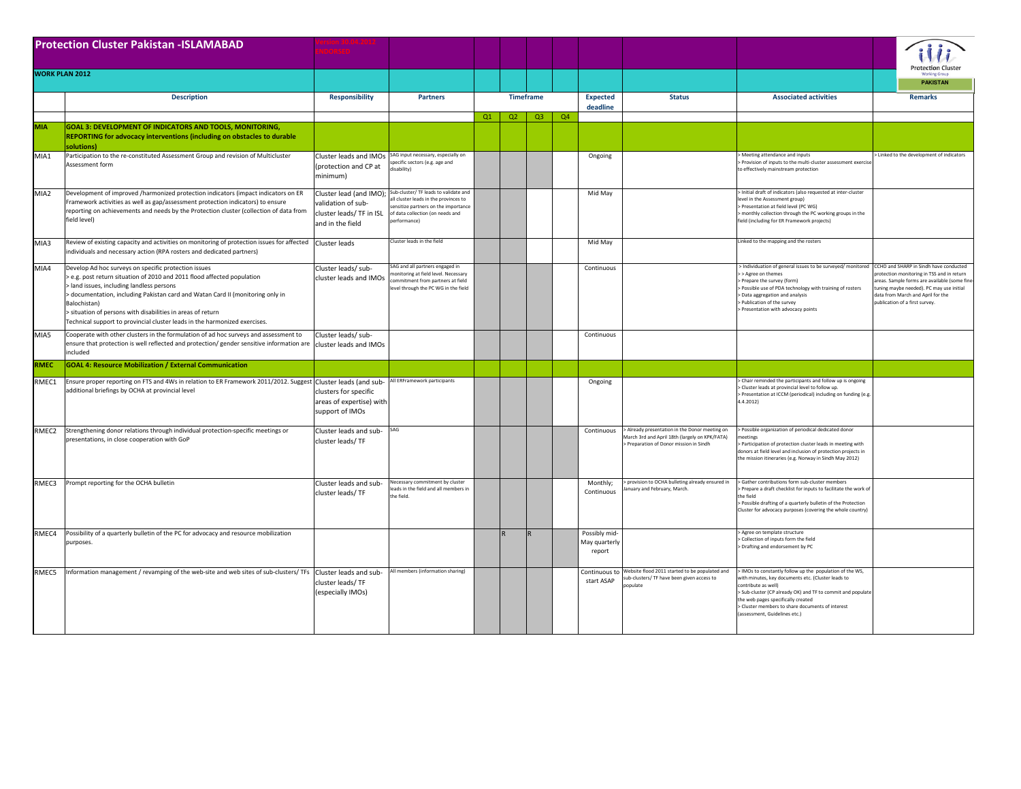| <b>Protection Cluster Pakistan - ISLAMABAD</b> |                                                                                                                                                                                                                                                                                                                                                                                                                     |                                                                                               |                                                                                                                                                                         |    |    |                  |    |                                          |                                                                                                                                           |                                                                                                                                                                                                                                                                                                                                  |                                                                                                                                                                                                               |
|------------------------------------------------|---------------------------------------------------------------------------------------------------------------------------------------------------------------------------------------------------------------------------------------------------------------------------------------------------------------------------------------------------------------------------------------------------------------------|-----------------------------------------------------------------------------------------------|-------------------------------------------------------------------------------------------------------------------------------------------------------------------------|----|----|------------------|----|------------------------------------------|-------------------------------------------------------------------------------------------------------------------------------------------|----------------------------------------------------------------------------------------------------------------------------------------------------------------------------------------------------------------------------------------------------------------------------------------------------------------------------------|---------------------------------------------------------------------------------------------------------------------------------------------------------------------------------------------------------------|
| <b>WORK PLAN 2012</b>                          |                                                                                                                                                                                                                                                                                                                                                                                                                     |                                                                                               |                                                                                                                                                                         |    |    |                  |    |                                          |                                                                                                                                           |                                                                                                                                                                                                                                                                                                                                  | Protection Cluster<br><b>PAKISTAN</b>                                                                                                                                                                         |
|                                                | <b>Description</b>                                                                                                                                                                                                                                                                                                                                                                                                  | <b>Responsibility</b>                                                                         | <b>Partners</b>                                                                                                                                                         |    |    | <b>Timeframe</b> |    | <b>Expected</b><br>deadline              | <b>Status</b>                                                                                                                             | <b>Associated activities</b>                                                                                                                                                                                                                                                                                                     | <b>Remarks</b>                                                                                                                                                                                                |
| <b>MIA</b>                                     | GOAL 3: DEVELOPMENT OF INDICATORS AND TOOLS, MONITORING,<br>REPORTING for advocacy interventions (including on obstacles to durable<br>solutions)                                                                                                                                                                                                                                                                   |                                                                                               |                                                                                                                                                                         | Q1 | Q2 | Q3               | Q4 |                                          |                                                                                                                                           |                                                                                                                                                                                                                                                                                                                                  |                                                                                                                                                                                                               |
| MIA1                                           | Participation to the re-constituted Assessment Group and revision of Multicluster<br>Assessment form                                                                                                                                                                                                                                                                                                                | Cluster leads and IMOs<br>(protection and CP at<br>minimum)                                   | AG input necessary, especially on<br>ecific sectors (e.g. age and<br>sability                                                                                           |    |    |                  |    | Ongoing                                  |                                                                                                                                           | Meeting attendance and inputs<br>Provision of inputs to the multi-cluster assessment exerci-<br>to effectively mainstream protection                                                                                                                                                                                             | > Linked to the development of indicators                                                                                                                                                                     |
| MIA2                                           | Development of improved /harmonized protection indicators (impact indicators on ER<br>Framework activities as well as gap/assessment protection indicators) to ensure<br>reporting on achievements and needs by the Protection cluster (collection of data from<br>field level)                                                                                                                                     | Cluster lead (and IMO);<br>validation of sub-<br>cluster leads/ TF in ISL<br>and in the field | Sub-cluster/ TF leads to validate and<br>Il cluster leads in the provinces to<br>insitize partners on the importance<br>of data collection (on needs and<br>erformance) |    |    |                  |    | Mid May                                  |                                                                                                                                           | Initial draft of indicators (also requested at inter-cluster<br>evel in the Assessment group)<br>Presentation at field level (PC WG)<br>monthly collection through the PC working groups in the<br>ield (including for ER Framework projects)                                                                                    |                                                                                                                                                                                                               |
| MIA3                                           | Review of existing capacity and activities on monitoring of protection issues for affected Cluster leads<br>individuals and necessary action (RPA rosters and dedicated partners)                                                                                                                                                                                                                                   |                                                                                               | Cluster leads in the field                                                                                                                                              |    |    |                  |    | Mid May                                  |                                                                                                                                           | inked to the mapping and the rosters                                                                                                                                                                                                                                                                                             |                                                                                                                                                                                                               |
| MIA4                                           | Develop Ad hoc surveys on specific protection issues<br>e.g. post return situation of 2010 and 2011 flood affected population<br>land issues, including landless persons<br>documentation, including Pakistan card and Watan Card II (monitoring only in<br>Balochistan)<br>situation of persons with disabilities in areas of return<br>Technical support to provincial cluster leads in the harmonized exercises. | Cluster leads/ sub-<br>cluster leads and IMOs                                                 | AG and all partners engaged in<br>onitoring at field level. Necessary<br>mmitment from partners at field<br>vel through the PC WG in the field                          |    |    |                  |    | Continuous                               |                                                                                                                                           | > Individuation of general issues to be surveyed/ monitored CCHD and SHARP in Sindh have conducted<br>>> Agree on themes<br>> Prepare the survey (form)<br>> Possible use of PDA technology with training of rosters<br><b>Data aggregation and analysis</b><br>Publication of the survey<br>> Presentation with advocacy points | rotection monitoring in TSS and in return<br>areas. Sample forms are available (some fine-<br>tuning maybe needed). PC may use initial<br>data from March and April for the<br>publication of a first survey. |
| MIA5                                           | Cooperate with other clusters in the formulation of ad hoc surveys and assessment to<br>ensure that protection is well reflected and protection/ gender sensitive information are<br>ncluded                                                                                                                                                                                                                        | Cluster leads/ sub-<br>cluster leads and IMOs                                                 |                                                                                                                                                                         |    |    |                  |    | Continuous                               |                                                                                                                                           |                                                                                                                                                                                                                                                                                                                                  |                                                                                                                                                                                                               |
| <b>RMEC</b>                                    | <b>GOAL 4: Resource Mobilization / External Communication</b>                                                                                                                                                                                                                                                                                                                                                       |                                                                                               |                                                                                                                                                                         |    |    |                  |    |                                          |                                                                                                                                           |                                                                                                                                                                                                                                                                                                                                  |                                                                                                                                                                                                               |
| RMEC1                                          | Ensure proper reporting on FTS and 4Ws in relation to ER Framework 2011/2012. Suggest Cluster leads (and sub-<br>additional briefings by OCHA at provincial level                                                                                                                                                                                                                                                   | clusters for specific<br>areas of expertise) with<br>support of IMOs                          | All ERFramework participants                                                                                                                                            |    |    |                  |    | Ongoing                                  |                                                                                                                                           | Chair reminded the participants and follow up is ongoing<br>Cluster leads at provincial level to follow up.<br>Presentation at ICCM (periodical) including on funding (e.g.<br>4.4.2012                                                                                                                                          |                                                                                                                                                                                                               |
| RMEC <sub>2</sub>                              | Strengthening donor relations through individual protection-specific meetings or<br>presentations, in close cooperation with GoP                                                                                                                                                                                                                                                                                    | Cluster leads and sub-<br>cluster leads/TF                                                    | <b>AG</b>                                                                                                                                                               |    |    |                  |    | Continuous                               | > Already presentation in the Donor meeting on<br>March 3rd and April 18th (largely on KPK/FATA)<br>Preparation of Donor mission in Sindh | Possible organization of periodical dedicated donor<br>neetings<br>Participation of protection cluster leads in meeting with<br>lonors at field level and inclusion of protection projects in<br>he mission itineraries (e.g. Norway in Sindh May 2012)                                                                          |                                                                                                                                                                                                               |
| RMFC3                                          | Prompt reporting for the OCHA bulletin                                                                                                                                                                                                                                                                                                                                                                              | Cluster leads and sub-<br>cluster leads/TF                                                    | lecessary commitment by cluster<br>ads in the field and all members in<br>he field.                                                                                     |    |    |                  |    | Monthly;<br>Continuous                   | > provision to OCHA bulleting already ensured in<br>nuary and February, March.                                                            | > Gather contributions form sub-cluster members<br>Prepare a draft checklist for inputs to facilitate the work of<br>the field<br>Possible drafting of a quarterly bulletin of the Protection<br>Cluster for advocacy purposes (covering the whole country)                                                                      |                                                                                                                                                                                                               |
| RMEC4                                          | Possibility of a quarterly bulletin of the PC for advocacy and resource mobilization<br>purposes.                                                                                                                                                                                                                                                                                                                   |                                                                                               |                                                                                                                                                                         |    |    |                  |    | Possibly mid-<br>May quarterly<br>report |                                                                                                                                           | Agree on template structure<br>Collection of inputs form the field<br>Drafting and endorsement by PC                                                                                                                                                                                                                             |                                                                                                                                                                                                               |
| RMEC5                                          | Information management / revamping of the web-site and web sites of sub-clusters/ TFs                                                                                                                                                                                                                                                                                                                               | Cluster leads and sub-<br>cluster leads/TF<br>(especially IMOs)                               | All members (information sharing)                                                                                                                                       |    |    |                  |    | Continuous to<br>start ASAP              | Website flood 2011 started to be populated and<br>b-clusters/ TF have been given access to<br>onulate                                     | IMOs to constantly follow up the population of the WS,<br>ith minutes, key documents etc. (Cluster leads to<br>notribute as well)<br>> Sub-cluster (CP already OK) and TF to commit and populate<br>the web pages specifically created<br>Cluster members to share documents of interest<br>assessment, Guidelines etc.)         |                                                                                                                                                                                                               |